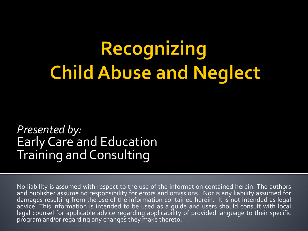# Recognizing **Child Abuse and Neglect**

*Presented by:* Early Care and Education Training and Consulting

No liability is assumed with respect to the use of the information contained herein. The authors and publisher assume no responsibility for errors and omissions. Nor is any liability assumed for damages resulting from the use of the information contained herein. It is not intended as legal advice. This information is intended to be used as a guide and users should consult with local legal counsel for applicable advice regarding applicability of provided language to their specific program and/or regarding any changes they make thereto.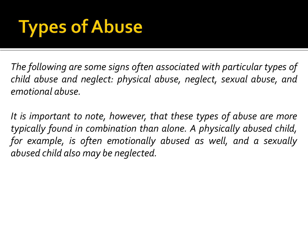## **Types of Abuse**

*The following are some signs often associated with particular types of child abuse and neglect: physical abuse, neglect, sexual abuse, and emotional abuse.*

*It is important to note, however, that these types of abuse are more typically found in combination than alone. A physically abused child, for example, is often emotionally abused as well, and a sexually abused child also may be neglected.*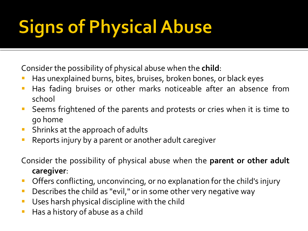# **Signs of Physical Abuse**

Consider the possibility of physical abuse when the **child**:

- Has unexplained burns, bites, bruises, broken bones, or black eyes
- **Has fading bruises or other marks noticeable after an absence from** school
- **Seems frightened of the parents and protests or cries when it is time to** go home
- **Shrinks at the approach of adults**
- **Reports injury by a parent or another adult caregiver**

Consider the possibility of physical abuse when the **parent or other adult caregiver**:

- Offers conflicting, unconvincing, or no explanation for the child's injury
- **Describes the child as "evil," or in some other very negative way**
- **Uses harsh physical discipline with the child**
- Has a history of abuse as a child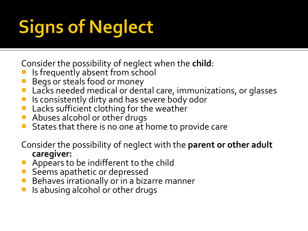# **Signs of Neglect**

Consider the possibility of neglect when the **child**:

- Is frequently absent from school
- Begs or steals food or money
- **Lacks needed medical or dental care, immunizations, or glasses**
- **If** Is consistently dirty and has severe body odor
- **Lacks sufficient clothing for the weather**
- **Abuses alcohol or other drugs**
- **States that there is no one at home to provide care**
- Consider the possibility of neglect with the **parent or other adult caregiver:**
- **Appears to be indifferent to the child**
- Seems apathetic or depressed
- **Behaves irrationally or in a bizarre manner**
- $\blacksquare$  Is abusing alcohol or other drugs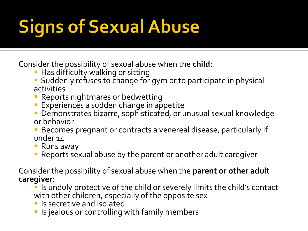## **Signs of Sexual Abuse**

Consider the possibility of sexual abuse when the **child**:

- **Has difficulty walking or sitting**
- Suddenly refuses to change for gym or to participate in physical activities
- **Reports nightmares or bedwetting**
- **Experiences a sudden change in appetite**
- Demonstrates bizarre, sophisticated, or unusual sexual knowledge or behavior
- Becomes pregnant or contracts a venereal disease, particularly if under 14
- Runs away
- Reports sexual abuse by the parent or another adult caregiver

Consider the possibility of sexual abuse when the **parent or other adult caregiver**:

- **If** is unduly protective of the child or severely limits the child's contact with other children, especially of the opposite sex
- **In Is secretive and isolated**
- **If** Is jealous or controlling with family members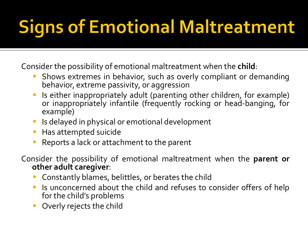## **Signs of Emotional Maltreatment**

Consider the possibility of emotional maltreatment when the **child**:

- Shows extremes in behavior, such as overly compliant or demanding behavior, extreme passivity, or aggression
- Is either inappropriately adult (parenting other children, for example) or inappropriately infantile (frequently rocking or head-banging, for example)
- Is delayed in physical or emotional development
- Has attempted suicide
- Reports a lack or attachment to the parent

Consider the possibility of emotional maltreatment when the **parent or other adult caregiver**:

- Constantly blames, belittles, or berates the child
- Is unconcerned about the child and refuses to consider offers of help for the child's problems
- Overly rejects the child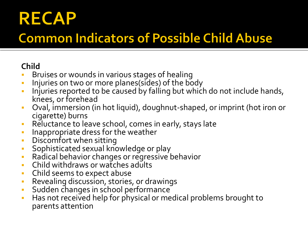## **RECAP**

## **Common Indicators of Possible Child Abuse**

#### **Child**

- **Bruises or wounds in various stages of healing**
- **Injuries on two or more planes(sides) of the body**
- **Injuries reported to be caused by falling but which do not include hands,** knees, or forehead
- Oval, immersion (in hot liquid), doughnut-shaped, or imprint (hot iron or cigarette) burns
- **Reluctance to leave school, comes in early, stays late**
- **Inappropriate dress for the weather**
- **•** Discomfort when sitting
- **Sophisticated sexual knowledge or play**
- Radical behavior changes or regressive behavior
- **-** Child withdraws or watches adults
- **Child seems to expect abuse**
- Revealing discussion, stories, or drawings
- **Sudden changes in school performance**
- **Has not received help for physical or medical problems brought to** parents attention